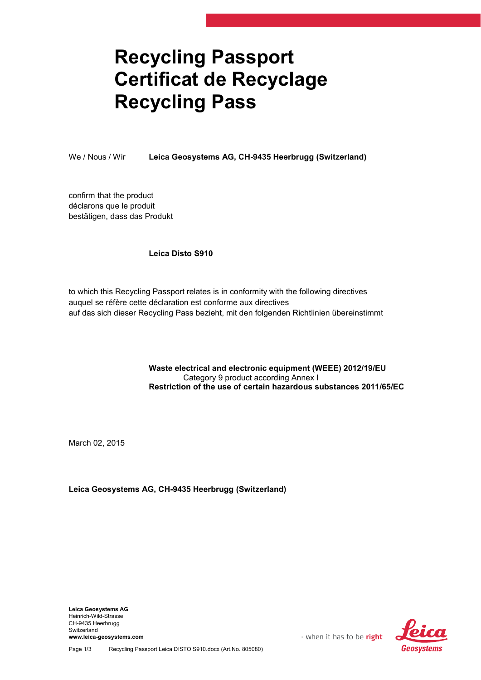## Recycling Passport Certificat de Recyclage Recycling Pass

We / Nous / Wir Leica Geosystems AG, CH-9435 Heerbrugg (Switzerland)

confirm that the product déclarons que le produit bestätigen, dass das Produkt

## Leica Disto S910

to which this Recycling Passport relates is in conformity with the following directives auquel se réfère cette déclaration est conforme aux directives auf das sich dieser Recycling Pass bezieht, mit den folgenden Richtlinien übereinstimmt

> Waste electrical and electronic equipment (WEEE) 2012/19/EU Category 9 product according Annex I Restriction of the use of certain hazardous substances 2011/65/EC

March 02, 2015

Leica Geosystems AG, CH-9435 Heerbrugg (Switzerland)

Leica Geosystems AG Heinrich-Wild-Strasse CH-9435 Heerbrugg Switzerland www.leica-geosystems.com



- when it has to be right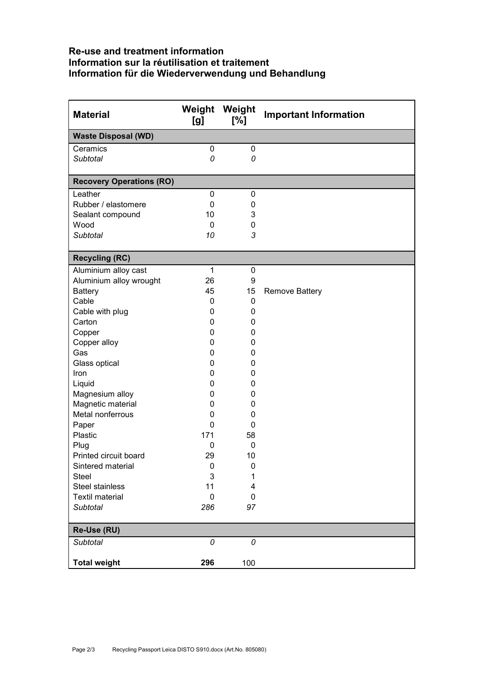## Re-use and treatment information Information sur la réutilisation et traitement Information für die Wiederverwendung und Behandlung

| <b>Material</b>                 | [g]              | Weight Weight<br>[%] | <b>Important Information</b> |
|---------------------------------|------------------|----------------------|------------------------------|
| <b>Waste Disposal (WD)</b>      |                  |                      |                              |
| Ceramics                        | $\mathbf 0$      | $\pmb{0}$            |                              |
| <b>Subtotal</b>                 | 0                | 0                    |                              |
|                                 |                  |                      |                              |
| <b>Recovery Operations (RO)</b> |                  |                      |                              |
| Leather<br>Rubber / elastomere  | 0<br>0           | 0<br>0               |                              |
| Sealant compound                | 10               | 3                    |                              |
| Wood                            | $\mathbf 0$      | 0                    |                              |
| <b>Subtotal</b>                 | 10               | 3                    |                              |
|                                 |                  |                      |                              |
| <b>Recycling (RC)</b>           |                  |                      |                              |
| Aluminium alloy cast            | 1                | $\pmb{0}$            |                              |
| Aluminium alloy wrought         | 26               | 9                    |                              |
| <b>Battery</b>                  | 45               | 15                   | <b>Remove Battery</b>        |
| Cable                           | 0                | 0                    |                              |
| Cable with plug                 | 0                | 0                    |                              |
| Carton                          | 0                | 0                    |                              |
| Copper                          | 0                | 0                    |                              |
| Copper alloy                    | 0                | 0                    |                              |
| Gas                             | 0                | 0                    |                              |
| Glass optical                   | 0                | $\mathbf{0}$         |                              |
| Iron                            | 0                | 0                    |                              |
| Liquid                          | 0                | 0                    |                              |
| Magnesium alloy                 | 0                | 0                    |                              |
| Magnetic material               | 0                | 0                    |                              |
| Metal nonferrous                | 0                | 0                    |                              |
| Paper                           | 0                | 0                    |                              |
| Plastic                         | 171<br>0         | 58                   |                              |
| Plug<br>Printed circuit board   | 29               | 0<br>10              |                              |
| Sintered material               | $\mathbf 0$      | 0                    |                              |
| <b>Steel</b>                    | 3                | 1                    |                              |
| <b>Steel stainless</b>          | 11               | 4                    |                              |
| <b>Textil material</b>          | $\boldsymbol{0}$ | $\pmb{0}$            |                              |
| Subtotal                        | 286              | 97                   |                              |
|                                 |                  |                      |                              |
| Re-Use (RU)                     |                  |                      |                              |
| <b>Subtotal</b>                 | 0                | 0                    |                              |
| <b>Total weight</b>             | 296              | 100                  |                              |